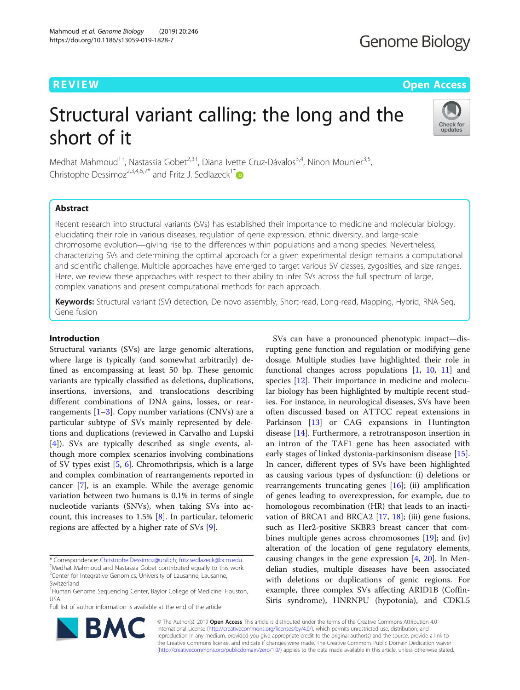# **Genome Biology**

# **REVIEW CONTROL** CONTROL CONTROL CONTROL CONTROL CONTROL CONTROL CONTROL CONTROL CONTROL CONTROL CONTROL CONTROL CONTROL CONTROL CONTROL CONTROL CONTROL CONTROL CONTROL CONTROL CONTROL CONTROL CONTROL CONTROL CONTROL CONTR

# Structural variant calling: the long and the short of it



Medhat Mahmoud<sup>1†</sup>, Nastassia Gobet<sup>2,3†</sup>, Diana Ivette Cruz-Dávalos<sup>3,4</sup>, Ninon Mounier<sup>3,5</sup>, Christophe Dessimoz<sup>2,3,4,6,7[\\*](http://orcid.org/0000-0001-6040-2691)</sup> and Fritz J. Sedlazeck<sup>1\*</sup>

# Abstract

Recent research into structural variants (SVs) has established their importance to medicine and molecular biology, elucidating their role in various diseases, regulation of gene expression, ethnic diversity, and large-scale chromosome evolution—giving rise to the differences within populations and among species. Nevertheless, characterizing SVs and determining the optimal approach for a given experimental design remains a computational and scientific challenge. Multiple approaches have emerged to target various SV classes, zygosities, and size ranges. Here, we review these approaches with respect to their ability to infer SVs across the full spectrum of large, complex variations and present computational methods for each approach.

Keywords: Structural variant (SV) detection, De novo assembly, Short-read, Long-read, Mapping, Hybrid, RNA-Seq, Gene fusion

### Introduction

Structural variants (SVs) are large genomic alterations, where large is typically (and somewhat arbitrarily) defined as encompassing at least 50 bp. These genomic variants are typically classified as deletions, duplications, insertions, inversions, and translocations describing different combinations of DNA gains, losses, or rearrangements  $[1-3]$  $[1-3]$  $[1-3]$  $[1-3]$ . Copy number variations (CNVs) are a particular subtype of SVs mainly represented by deletions and duplications (reviewed in Carvalho and Lupski [[4\]](#page-11-0)). SVs are typically described as single events, although more complex scenarios involving combinations of SV types exist [\[5](#page-11-0), [6\]](#page-11-0). Chromothripsis, which is a large and complex combination of rearrangements reported in cancer [\[7](#page-11-0)], is an example. While the average genomic variation between two humans is 0.1% in terms of single nucleotide variants (SNVs), when taking SVs into account, this increases to 1.5% [\[8](#page-11-0)]. In particular, telomeric regions are affected by a higher rate of SVs [\[9](#page-11-0)].

Full list of author information is available at the end of the article

SVs can have a pronounced phenotypic impact—disrupting gene function and regulation or modifying gene dosage. Multiple studies have highlighted their role in functional changes across populations [[1,](#page-11-0) [10,](#page-11-0) [11](#page-11-0)] and species [[12\]](#page-11-0). Their importance in medicine and molecular biology has been highlighted by multiple recent studies. For instance, in neurological diseases, SVs have been often discussed based on ATTCC repeat extensions in Parkinson [\[13](#page-11-0)] or CAG expansions in Huntington disease [[14](#page-11-0)]. Furthermore, a retrotransposon insertion in an intron of the TAF1 gene has been associated with early stages of linked dystonia-parkinsonism disease [\[15](#page-11-0)]. In cancer, different types of SVs have been highlighted as causing various types of dysfunction: (i) deletions or rearrangements truncating genes  $[16]$  $[16]$ ; (ii) amplification of genes leading to overexpression, for example, due to homologous recombination (HR) that leads to an inactivation of BRCA1 and BRCA2 [[17,](#page-11-0) [18](#page-11-0)]; (iii) gene fusions, such as Her2-positive SKBR3 breast cancer that combines multiple genes across chromosomes [\[19](#page-11-0)]; and (iv) alteration of the location of gene regulatory elements, causing changes in the gene expression [[4,](#page-11-0) [20](#page-11-0)]. In Mendelian studies, multiple diseases have been associated with deletions or duplications of genic regions. For example, three complex SVs affecting ARID1B (Coffin-Siris syndrome), HNRNPU (hypotonia), and CDKL5



© The Author(s). 2019 Open Access This article is distributed under the terms of the Creative Commons Attribution 4.0 International License [\(http://creativecommons.org/licenses/by/4.0/](http://creativecommons.org/licenses/by/4.0/)), which permits unrestricted use, distribution, and reproduction in any medium, provided you give appropriate credit to the original author(s) and the source, provide a link to the Creative Commons license, and indicate if changes were made. The Creative Commons Public Domain Dedication waiver [\(http://creativecommons.org/publicdomain/zero/1.0/](http://creativecommons.org/publicdomain/zero/1.0/)) applies to the data made available in this article, unless otherwise stated.

<sup>\*</sup> Correspondence: [Christophe.Dessimoz@unil.ch;](mailto:Christophe.Dessimoz@unil.ch) [fritz.sedlazeck@bcm.edu](mailto:fritz.sedlazeck@bcm.edu) † Medhat Mahmoud and Nastassia Gobet contributed equally to this work. <sup>2</sup> Center for Integrative Genomics, University of Lausanne, Lausanne, Switzerland

<sup>&</sup>lt;sup>1</sup>Human Genome Sequencing Center, Baylor College of Medicine, Houston, USA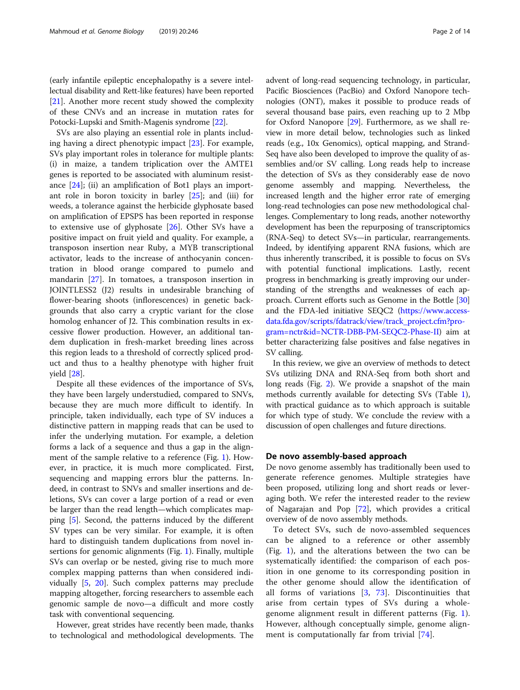(early infantile epileptic encephalopathy is a severe intellectual disability and Rett-like features) have been reported [[21](#page-11-0)]. Another more recent study showed the complexity of these CNVs and an increase in mutation rates for Potocki-Lupski and Smith-Magenis syndrome [\[22\]](#page-11-0).

SVs are also playing an essential role in plants including having a direct phenotypic impact [\[23\]](#page-11-0). For example, SVs play important roles in tolerance for multiple plants: (i) in maize, a tandem triplication over the AMTE1 genes is reported to be associated with aluminum resistance  $[24]$  $[24]$ ; (ii) an amplification of Bot1 plays an important role in boron toxicity in barley [\[25](#page-11-0)]; and (iii) for weeds, a tolerance against the herbicide glyphosate based on amplification of EPSPS has been reported in response to extensive use of glyphosate [[26\]](#page-11-0). Other SVs have a positive impact on fruit yield and quality. For example, a transposon insertion near Ruby, a MYB transcriptional activator, leads to the increase of anthocyanin concentration in blood orange compared to pumelo and mandarin [\[27\]](#page-11-0). In tomatoes, a transposon insertion in JOINTLESS2 (J2) results in undesirable branching of flower-bearing shoots (inflorescences) in genetic backgrounds that also carry a cryptic variant for the close homolog enhancer of J2. This combination results in excessive flower production. However, an additional tandem duplication in fresh-market breeding lines across this region leads to a threshold of correctly spliced product and thus to a healthy phenotype with higher fruit yield [[28\]](#page-11-0).

Despite all these evidences of the importance of SVs, they have been largely understudied, compared to SNVs, because they are much more difficult to identify. In principle, taken individually, each type of SV induces a distinctive pattern in mapping reads that can be used to infer the underlying mutation. For example, a deletion forms a lack of a sequence and thus a gap in the alignment of the sample relative to a reference (Fig. [1\)](#page-2-0). However, in practice, it is much more complicated. First, sequencing and mapping errors blur the patterns. Indeed, in contrast to SNVs and smaller insertions and deletions, SVs can cover a large portion of a read or even be larger than the read length—which complicates mapping [\[5](#page-11-0)]. Second, the patterns induced by the different SV types can be very similar. For example, it is often hard to distinguish tandem duplications from novel insertions for genomic alignments (Fig. [1](#page-2-0)). Finally, multiple SVs can overlap or be nested, giving rise to much more complex mapping patterns than when considered individually [[5,](#page-11-0) [20\]](#page-11-0). Such complex patterns may preclude mapping altogether, forcing researchers to assemble each genomic sample de novo—a difficult and more costly task with conventional sequencing.

However, great strides have recently been made, thanks to technological and methodological developments. The advent of long-read sequencing technology, in particular, Pacific Biosciences (PacBio) and Oxford Nanopore technologies (ONT), makes it possible to produce reads of several thousand base pairs, even reaching up to 2 Mbp for Oxford Nanopore [[29](#page-11-0)]. Furthermore, as we shall review in more detail below, technologies such as linked reads (e.g., 10x Genomics), optical mapping, and Strand-Seq have also been developed to improve the quality of assemblies and/or SV calling. Long reads help to increase the detection of SVs as they considerably ease de novo genome assembly and mapping. Nevertheless, the increased length and the higher error rate of emerging long-read technologies can pose new methodological challenges. Complementary to long reads, another noteworthy development has been the repurposing of transcriptomics (RNA-Seq) to detect SVs—in particular, rearrangements. Indeed, by identifying apparent RNA fusions, which are thus inherently transcribed, it is possible to focus on SVs with potential functional implications. Lastly, recent progress in benchmarking is greatly improving our understanding of the strengths and weaknesses of each approach. Current efforts such as Genome in the Bottle [[30](#page-11-0)] and the FDA-led initiative SEQC2 ([https://www.access](https://www.accessdata.fda.gov/scripts/fdatrack/view/track_project.cfm?program=nctr&id=NCTR-DBB-PM-SEQC2-Phase-II))[data.fda.gov/scripts/fdatrack/view/track\\_project.cfm?pro](https://www.accessdata.fda.gov/scripts/fdatrack/view/track_project.cfm?program=nctr&id=NCTR-DBB-PM-SEQC2-Phase-II))[gram=nctr&id=NCTR-DBB-PM-SEQC2-Phase-II\)](https://www.accessdata.fda.gov/scripts/fdatrack/view/track_project.cfm?program=nctr&id=NCTR-DBB-PM-SEQC2-Phase-II)) aim at better characterizing false positives and false negatives in SV calling.

In this review, we give an overview of methods to detect SVs utilizing DNA and RNA-Seq from both short and long reads (Fig. [2](#page-3-0)). We provide a snapshot of the main methods currently available for detecting SVs (Table [1](#page-4-0)), with practical guidance as to which approach is suitable for which type of study. We conclude the review with a discussion of open challenges and future directions.

#### De novo assembly-based approach

De novo genome assembly has traditionally been used to generate reference genomes. Multiple strategies have been proposed, utilizing long and short reads or leveraging both. We refer the interested reader to the review of Nagarajan and Pop [\[72](#page-12-0)], which provides a critical overview of de novo assembly methods.

To detect SVs, such de novo-assembled sequences can be aligned to a reference or other assembly (Fig. [1](#page-2-0)), and the alterations between the two can be systematically identified: the comparison of each position in one genome to its corresponding position in the other genome should allow the identification of all forms of variations [[3,](#page-11-0) [73\]](#page-12-0). Discontinuities that arise from certain types of SVs during a wholegenome alignment result in different patterns (Fig. [1](#page-2-0)). However, although conceptually simple, genome alignment is computationally far from trivial [\[74](#page-12-0)].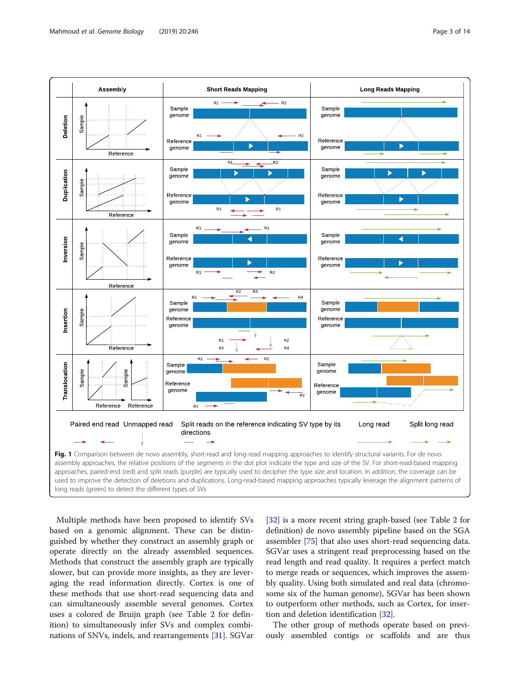<span id="page-2-0"></span>

Multiple methods have been proposed to identify SVs based on a genomic alignment. These can be distinguished by whether they construct an assembly graph or operate directly on the already assembled sequences. Methods that construct the assembly graph are typically slower, but can provide more insights, as they are leveraging the read information directly. Cortex is one of these methods that use short-read sequencing data and can simultaneously assemble several genomes. Cortex uses a colored de Bruijn graph (see Table [2](#page-6-0) for definition) to simultaneously infer SVs and complex combinations of SNVs, indels, and rearrangements [\[31](#page-11-0)]. SGVar

[[32\]](#page-11-0) is a more recent string graph-based (see Table [2](#page-6-0) for definition) de novo assembly pipeline based on the SGA assembler [\[75](#page-12-0)] that also uses short-read sequencing data. SGVar uses a stringent read preprocessing based on the read length and read quality. It requires a perfect match to merge reads or sequences, which improves the assembly quality. Using both simulated and real data (chromosome six of the human genome), SGVar has been shown to outperform other methods, such as Cortex, for insertion and deletion identification [[32](#page-11-0)].

The other group of methods operate based on previously assembled contigs or scaffolds and are thus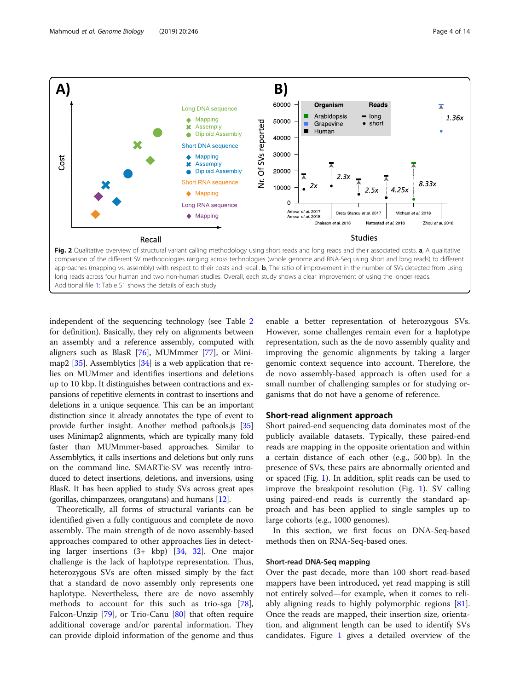<span id="page-3-0"></span>

independent of the sequencing technology (see Table [2](#page-6-0) for definition). Basically, they rely on alignments between an assembly and a reference assembly, computed with aligners such as BlasR [\[76\]](#page-12-0), MUMmmer [[77](#page-12-0)], or Mini-map2 [\[35\]](#page-12-0). Assemblytics [\[34\]](#page-12-0) is a web application that relies on MUMmer and identifies insertions and deletions up to 10 kbp. It distinguishes between contractions and expansions of repetitive elements in contrast to insertions and deletions in a unique sequence. This can be an important distinction since it already annotates the type of event to provide further insight. Another method paftools.js [\[35](#page-12-0)] uses Minimap2 alignments, which are typically many fold faster than MUMmmer-based approaches. Similar to Assemblytics, it calls insertions and deletions but only runs on the command line. SMARTie-SV was recently introduced to detect insertions, deletions, and inversions, using BlasR. It has been applied to study SVs across great apes (gorillas, chimpanzees, orangutans) and humans [\[12\]](#page-11-0).

Theoretically, all forms of structural variants can be identified given a fully contiguous and complete de novo assembly. The main strength of de novo assembly-based approaches compared to other approaches lies in detecting larger insertions (3+ kbp) [[34,](#page-12-0) [32](#page-11-0)]. One major challenge is the lack of haplotype representation. Thus, heterozygous SVs are often missed simply by the fact that a standard de novo assembly only represents one haplotype. Nevertheless, there are de novo assembly methods to account for this such as trio-sga [\[78](#page-12-0)], Falcon-Unzip [[79\]](#page-12-0), or Trio-Canu [\[80](#page-12-0)] that often require additional coverage and/or parental information. They can provide diploid information of the genome and thus

enable a better representation of heterozygous SVs. However, some challenges remain even for a haplotype representation, such as the de novo assembly quality and improving the genomic alignments by taking a larger genomic context sequence into account. Therefore, the de novo assembly-based approach is often used for a small number of challenging samples or for studying organisms that do not have a genome of reference.

#### Short-read alignment approach

Short paired-end sequencing data dominates most of the publicly available datasets. Typically, these paired-end reads are mapping in the opposite orientation and within a certain distance of each other (e.g., 500 bp). In the presence of SVs, these pairs are abnormally oriented and or spaced (Fig. [1](#page-2-0)). In addition, split reads can be used to improve the breakpoint resolution (Fig. [1\)](#page-2-0). SV calling using paired-end reads is currently the standard approach and has been applied to single samples up to large cohorts (e.g., 1000 genomes).

In this section, we first focus on DNA-Seq-based methods then on RNA-Seq-based ones.

#### Short-read DNA-Seq mapping

Over the past decade, more than 100 short read-based mappers have been introduced, yet read mapping is still not entirely solved—for example, when it comes to reliably aligning reads to highly polymorphic regions [\[81](#page-12-0)]. Once the reads are mapped, their insertion size, orientation, and alignment length can be used to identify SVs candidates. Figure [1](#page-2-0) gives a detailed overview of the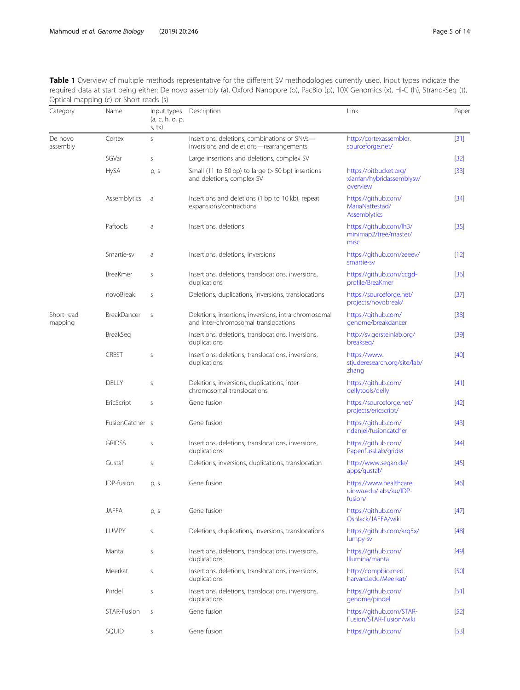<span id="page-4-0"></span>

| Table 1 Overview of multiple methods representative for the different SV methodologies currently used. Input types indicate the         |
|-----------------------------------------------------------------------------------------------------------------------------------------|
| required data at start being either: De novo assembly (a), Oxford Nanopore (o), PacBio (p), 10X Genomics (x), Hi-C (h), Strand-Seg (t), |
| Optical mapping (c) or Short reads (s)                                                                                                  |

| Category              | Name            | Input types<br>(a, c, h, o, p,<br>s, tx) | Description                                                                                  | Link                                                            | Paper  |
|-----------------------|-----------------|------------------------------------------|----------------------------------------------------------------------------------------------|-----------------------------------------------------------------|--------|
| De novo<br>assembly   | Cortex          | S                                        | Insertions, deletions, combinations of SNVs-<br>inversions and deletions—rearrangements      | http://cortexassembler.<br>sourceforge.net/                     | $[31]$ |
|                       | SGVar           | S                                        | Large insertions and deletions, complex SV                                                   |                                                                 | $[32]$ |
|                       | <b>HySA</b>     | p, s                                     | Small (11 to 50 bp) to large (> 50 bp) insertions<br>and deletions, complex SV               | https://bitbucket.org/<br>xianfan/hybridassemblysv/<br>overview | $[33]$ |
|                       | Assemblytics    | a                                        | Insertions and deletions (1 bp to 10 kb), repeat<br>expansions/contractions                  | https://github.com/<br>MariaNattestad/<br><b>Assemblytics</b>   | $[34]$ |
|                       | Paftools        | a                                        | Insertions, deletions                                                                        | https://github.com/lh3/<br>minimap2/tree/master/<br>misc        | $[35]$ |
|                       | Smartie-sv      | a                                        | Insertions, deletions, inversions                                                            | https://github.com/zeeev/<br>smartie-sv                         | $[12]$ |
|                       | BreaKmer        | S                                        | Insertions, deletions, translocations, inversions,<br>duplications                           | https://github.com/ccgd-<br>profile/BreaKmer                    | $[36]$ |
|                       | novoBreak       | S                                        | Deletions, duplications, inversions, translocations                                          | https://sourceforge.net/<br>projects/novobreak/                 | $[37]$ |
| Short-read<br>mapping | BreakDancer     | S                                        | Deletions, insertions, inversions, intra-chromosomal<br>and inter-chromosomal translocations | https://github.com/<br>genome/breakdancer                       | $[38]$ |
|                       | BreakSeq        |                                          | Insertions, deletions, translocations, inversions,<br>duplications                           | http://sv.gersteinlab.org/<br>breakseg/                         | $[39]$ |
|                       | <b>CREST</b>    | $\sf S$                                  | Insertions, deletions, translocations, inversions,<br>duplications                           | https://www.<br>stjuderesearch.org/site/lab/<br>zhang           | $[40]$ |
|                       | <b>DELLY</b>    | $\mathsf S$                              | Deletions, inversions, duplications, inter-<br>chromosomal translocations                    | https://github.com/<br>dellytools/delly                         | $[41]$ |
|                       | EricScript      | S                                        | Gene fusion                                                                                  | https://sourceforge.net/<br>projects/ericscript/                | $[42]$ |
|                       | FusionCatcher s |                                          | Gene fusion                                                                                  | https://github.com/<br>ndaniel/fusioncatcher                    | $[43]$ |
|                       | <b>GRIDSS</b>   | $\mathsf S$                              | Insertions, deletions, translocations, inversions,<br>duplications                           | https://github.com/<br>PapenfussLab/gridss                      | $[44]$ |
|                       | Gustaf          | S                                        | Deletions, inversions, duplications, translocation                                           | http://www.segan.de/<br>apps/gustaf/                            | $[45]$ |
|                       | IDP-fusion      | p, s                                     | Gene fusion                                                                                  | https://www.healthcare.<br>uiowa.edu/labs/au/IDP-<br>fusion/    | $[46]$ |
|                       | <b>JAFFA</b>    | p, s                                     | Gene fusion                                                                                  | https://github.com/<br>Oshlack/JAFFA/wiki                       | $[47]$ |
|                       | <b>LUMPY</b>    | S                                        | Deletions, duplications, inversions, translocations                                          | https://github.com/arg5x/<br>lumpy-sv                           | $[48]$ |
|                       | Manta           | $\mathsf S$                              | Insertions, deletions, translocations, inversions,<br>duplications                           | https://github.com/<br>Illumina/manta                           | $[49]$ |
|                       | Meerkat         | $\mathsf S$                              | Insertions, deletions, translocations, inversions,<br>duplications                           | http://compbio.med.<br>harvard.edu/Meerkat/                     | $[50]$ |
|                       | Pindel          | $\mathsf S$                              | Insertions, deletions, translocations, inversions,<br>duplications                           | https://github.com/<br>genome/pindel                            | $[51]$ |
|                       | STAR-Fusion     | S                                        | Gene fusion                                                                                  | https://github.com/STAR-<br>Fusion/STAR-Fusion/wiki             | $[52]$ |
|                       | SQUID           | $\mathsf S$                              | Gene fusion                                                                                  | https://github.com/                                             | [53]   |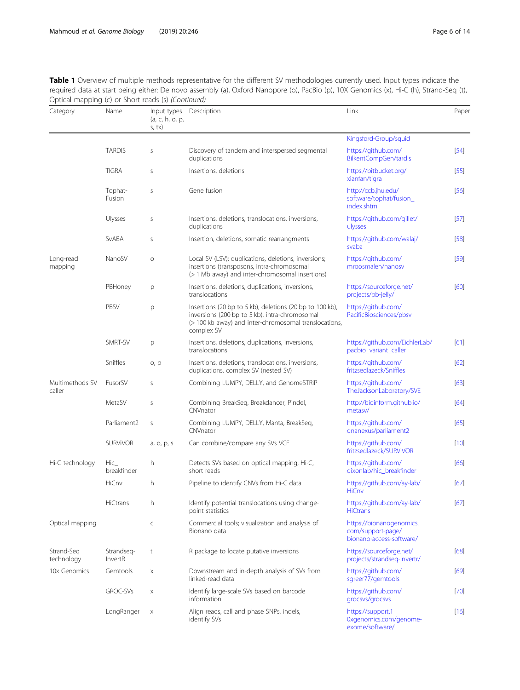Table 1 Overview of multiple methods representative for the different SV methodologies currently used. Input types indicate the required data at start being either: De novo assembly (a), Oxford Nanopore (o), PacBio (p), 10X Genomics (x), Hi-C (h), Strand-Seq (t), Optical mapping (c) or Short reads (s) (Continued)

| Category                  | Name                    | Input types<br>(a, c, h, o, p, | Description                                                                                                                                                                       | Link                                                                      | Paper  |
|---------------------------|-------------------------|--------------------------------|-----------------------------------------------------------------------------------------------------------------------------------------------------------------------------------|---------------------------------------------------------------------------|--------|
|                           |                         | s, tx)                         |                                                                                                                                                                                   | Kingsford-Group/squid                                                     |        |
|                           | <b>TARDIS</b>           | S                              | Discovery of tandem and interspersed segmental<br>duplications                                                                                                                    | https://github.com/<br>BilkentCompGen/tardis                              | $[54]$ |
|                           | <b>TIGRA</b>            | S                              | Insertions, deletions                                                                                                                                                             | https://bitbucket.org/<br>xianfan/tigra                                   | $[55]$ |
|                           | Tophat-<br>Fusion       | S                              | Gene fusion                                                                                                                                                                       | http://ccb.jhu.edu/<br>software/tophat/fusion_<br>index.shtml             | $[56]$ |
|                           | Ulysses                 | S                              | Insertions, deletions, translocations, inversions,<br>duplications                                                                                                                | https://github.com/gillet/<br>ulysses                                     | $[57]$ |
|                           | <b>SvABA</b>            | S                              | Insertion, deletions, somatic rearrangments                                                                                                                                       | https://github.com/walaj/<br>svaba                                        | $[58]$ |
| Long-read<br>mapping      | NanoSV                  | $\circ$                        | Local SV (LSV): duplications, deletions, inversions;<br>insertions (transposons, intra-chromosomal<br>(> 1 Mb away) and inter-chromosomal insertions)                             | https://github.com/<br>mroosmalen/nanosv                                  | $[59]$ |
|                           | PBHoney                 | р                              | Insertions, deletions, duplications, inversions,<br>translocations                                                                                                                | https://sourceforge.net/<br>projects/pb-jelly/                            | [60]   |
|                           | PBSV                    | p                              | Insertions (20 bp to 5 kb), deletions (20 bp to 100 kb),<br>inversions (200 bp to 5 kb), intra-chromosomal<br>(> 100 kb away) and inter-chromosomal translocations,<br>complex SV | https://github.com/<br>PacificBiosciences/pbsv                            |        |
|                           | SMRT-SV                 | p                              | Insertions, deletions, duplications, inversions,<br>translocations                                                                                                                | https://github.com/EichlerLab/<br>pacbio_variant_caller                   | [61]   |
|                           | Sniffles                | O, P                           | Insertions, deletions, translocations, inversions,<br>duplications, complex SV (nested SV)                                                                                        | https://github.com/<br>fritzsedlazeck/Sniffles                            | [62]   |
| Multimethods SV<br>caller | FusorSV                 | S                              | Combining LUMPY, DELLY, and GenomeSTRiP                                                                                                                                           | https://github.com/<br>TheJacksonLaboratory/SVE                           | [63]   |
|                           | MetaSV                  | S                              | Combining BreakSeq, Breakdancer, Pindel,<br>CNVnator                                                                                                                              | http://bioinform.github.io/<br>metasv/                                    | [64]   |
|                           | Parliament <sub>2</sub> | S                              | Combining LUMPY, DELLY, Manta, BreakSeq,<br>CNVnator                                                                                                                              | https://github.com/<br>dnanexus/parliament2                               | [65]   |
|                           | <b>SURVIVOR</b>         | a, o, p, s                     | Can combine/compare any SVs VCF                                                                                                                                                   | https://github.com/<br>fritzsedlazeck/SURVIVOR                            | $[10]$ |
| Hi-C technology           | Hic<br>breakfinder      | h                              | Detects SVs based on optical mapping, Hi-C,<br>short reads                                                                                                                        | https://github.com/<br>dixonlab/hic_breakfinder                           | [66]   |
|                           | HiCnv                   | h                              | Pipeline to identify CNVs from Hi-C data                                                                                                                                          | https://github.com/ay-lab/<br>HiCnv                                       | [67]   |
|                           | <b>HiCtrans</b>         | h                              | Identify potential translocations using change-<br>point statistics                                                                                                               | https://github.com/ay-lab/<br><b>HiCtrans</b>                             | [67]   |
| Optical mapping           |                         | $\mathsf C$                    | Commercial tools; visualization and analysis of<br>Bionano data                                                                                                                   | https://bionanogenomics.<br>com/support-page/<br>bionano-access-software/ |        |
| Strand-Seq<br>technology  | Strandseg-<br>InvertR   | t                              | R package to locate putative inversions                                                                                                                                           | https://sourceforge.net/<br>projects/strandseq-invertr/                   | [68]   |
| 10x Genomics              | Gemtools                | $\boldsymbol{\times}$          | Downstream and in-depth analysis of SVs from<br>linked-read data                                                                                                                  | https://github.com/<br>sgreer77/gemtools                                  | [69]   |
|                           | GROC-SVs                | $\boldsymbol{\times}$          | Identify large-scale SVs based on barcode<br>information                                                                                                                          | https://github.com/<br>grocsvs/grocsvs                                    | $[70]$ |
|                           | LongRanger              | X                              | Align reads, call and phase SNPs, indels,<br>identify SVs                                                                                                                         | https://support.1<br>0xgenomics.com/genome-<br>exome/software/            | $[16]$ |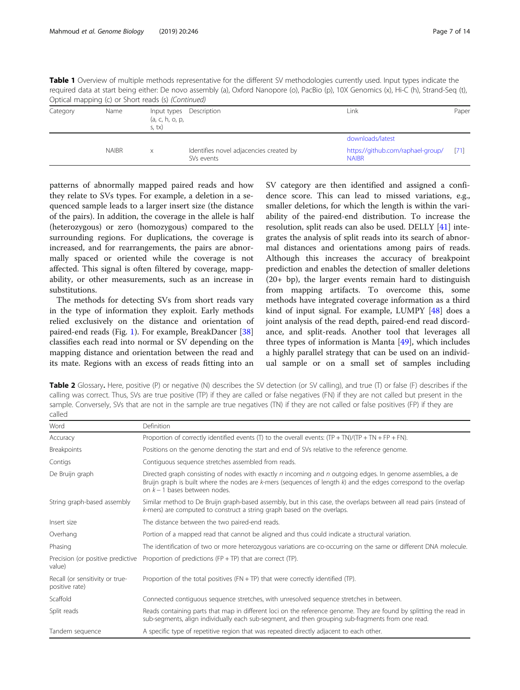<span id="page-6-0"></span>

| Table 1 Overview of multiple methods representative for the different SV methodologies currently used. Input types indicate the         |  |
|-----------------------------------------------------------------------------------------------------------------------------------------|--|
| required data at start being either: De novo assembly (a), Oxford Nanopore (o), PacBio (p), 10X Genomics (x), Hi-C (h), Strand-Seg (t), |  |
| Optical mapping (c) or Short reads (s) (Continued)                                                                                      |  |

| Category | Name         | (a, c, h, o, p,<br>s, tx) | Input types Description                               | Link                                              | Paper |
|----------|--------------|---------------------------|-------------------------------------------------------|---------------------------------------------------|-------|
|          |              |                           |                                                       | downloads/latest                                  |       |
|          | <b>NAIBR</b> | X                         | Identifies novel adjacencies created by<br>SVs events | https://github.com/raphael-group/<br><b>NAIBR</b> | [71]  |
|          |              |                           |                                                       |                                                   |       |

patterns of abnormally mapped paired reads and how they relate to SVs types. For example, a deletion in a sequenced sample leads to a larger insert size (the distance of the pairs). In addition, the coverage in the allele is half (heterozygous) or zero (homozygous) compared to the surrounding regions. For duplications, the coverage is increased, and for rearrangements, the pairs are abnormally spaced or oriented while the coverage is not affected. This signal is often filtered by coverage, mappability, or other measurements, such as an increase in substitutions.

The methods for detecting SVs from short reads vary in the type of information they exploit. Early methods relied exclusively on the distance and orientation of paired-end reads (Fig. [1](#page-2-0)). For example, BreakDancer [[38](#page-12-0)] classifies each read into normal or SV depending on the mapping distance and orientation between the read and its mate. Regions with an excess of reads fitting into an SV category are then identified and assigned a confidence score. This can lead to missed variations, e.g., smaller deletions, for which the length is within the variability of the paired-end distribution. To increase the resolution, split reads can also be used. DELLY [[41](#page-12-0)] integrates the analysis of split reads into its search of abnormal distances and orientations among pairs of reads. Although this increases the accuracy of breakpoint prediction and enables the detection of smaller deletions (20+ bp), the larger events remain hard to distinguish from mapping artifacts. To overcome this, some methods have integrated coverage information as a third kind of input signal. For example, LUMPY [\[48](#page-12-0)] does a joint analysis of the read depth, paired-end read discordance, and split-reads. Another tool that leverages all three types of information is Manta [[49\]](#page-12-0), which includes a highly parallel strategy that can be used on an individual sample or on a small set of samples including

Table 2 Glossary. Here, positive (P) or negative (N) describes the SV detection (or SV calling), and true (T) or false (F) describes if the calling was correct. Thus, SVs are true positive (TP) if they are called or false negatives (FN) if they are not called but present in the sample. Conversely, SVs that are not in the sample are true negatives (TN) if they are not called or false positives (FP) if they are called

| Word                                              | Definition                                                                                                                                                                                                                                                                 |
|---------------------------------------------------|----------------------------------------------------------------------------------------------------------------------------------------------------------------------------------------------------------------------------------------------------------------------------|
| Accuracy                                          | Proportion of correctly identified events (T) to the overall events: $(TP + TN)/(TP + TN + FP + FN)$ .                                                                                                                                                                     |
| Breakpoints                                       | Positions on the genome denoting the start and end of SVs relative to the reference genome.                                                                                                                                                                                |
| Contigs                                           | Contiguous sequence stretches assembled from reads.                                                                                                                                                                                                                        |
| De Bruijn graph                                   | Directed graph consisting of nodes with exactly $n$ incoming and $n$ outgoing edges. In genome assemblies, a de<br>Bruijn graph is built where the nodes are $k$ -mers (sequences of length $k$ ) and the edges correspond to the overlap<br>on $k-1$ bases between nodes. |
| String graph-based assembly                       | Similar method to De Bruijn graph-based assembly, but in this case, the overlaps between all read pairs (instead of<br>k-mers) are computed to construct a string graph based on the overlaps.                                                                             |
| Insert size                                       | The distance between the two paired-end reads.                                                                                                                                                                                                                             |
| Overhang                                          | Portion of a mapped read that cannot be aligned and thus could indicate a structural variation.                                                                                                                                                                            |
| Phasing                                           | The identification of two or more heterozygous variations are co-occurring on the same or different DNA molecule.                                                                                                                                                          |
| Precision (or positive predictive<br>value)       | Proportion of predictions ( $FP + TP$ ) that are correct ( $TP$ ).                                                                                                                                                                                                         |
| Recall (or sensitivity or true-<br>positive rate) | Proportion of the total positives ( $FN + TP$ ) that were correctly identified ( $TP$ ).                                                                                                                                                                                   |
| Scaffold                                          | Connected contiguous sequence stretches, with unresolved sequence stretches in between.                                                                                                                                                                                    |
| Split reads                                       | Reads containing parts that map in different loci on the reference genome. They are found by splitting the read in<br>sub-segments, align individually each sub-segment, and then grouping sub-fragments from one read.                                                    |
| Tandem sequence                                   | A specific type of repetitive region that was repeated directly adjacent to each other.                                                                                                                                                                                    |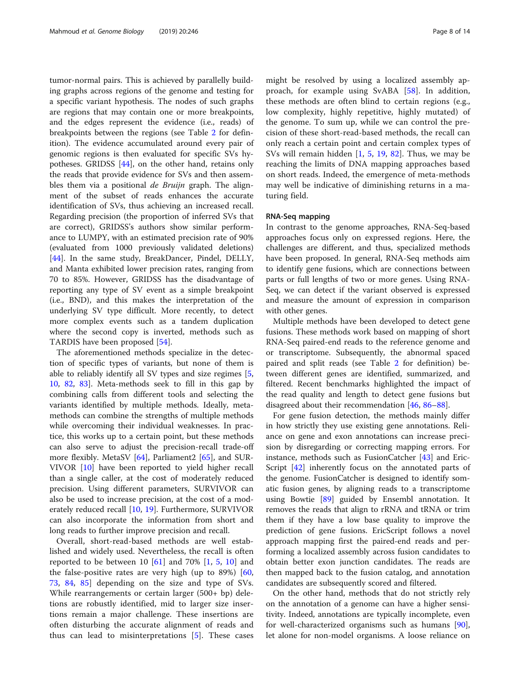tumor-normal pairs. This is achieved by parallelly building graphs across regions of the genome and testing for a specific variant hypothesis. The nodes of such graphs are regions that may contain one or more breakpoints, and the edges represent the evidence (i.e., reads) of breakpoints between the regions (see Table [2](#page-6-0) for definition). The evidence accumulated around every pair of genomic regions is then evaluated for specific SVs hypotheses. GRIDSS [[44\]](#page-12-0), on the other hand, retains only the reads that provide evidence for SVs and then assembles them via a positional *de Bruijn* graph. The alignment of the subset of reads enhances the accurate identification of SVs, thus achieving an increased recall. Regarding precision (the proportion of inferred SVs that are correct), GRIDSS's authors show similar performance to LUMPY, with an estimated precision rate of 90% (evaluated from 1000 previously validated deletions) [[44\]](#page-12-0). In the same study, BreakDancer, Pindel, DELLY, and Manta exhibited lower precision rates, ranging from 70 to 85%. However, GRIDSS has the disadvantage of reporting any type of SV event as a simple breakpoint (i.e., BND), and this makes the interpretation of the underlying SV type difficult. More recently, to detect more complex events such as a tandem duplication where the second copy is inverted, methods such as TARDIS have been proposed [\[54](#page-12-0)].

The aforementioned methods specialize in the detection of specific types of variants, but none of them is able to reliably identify all SV types and size regimes [\[5](#page-11-0), [10,](#page-11-0) [82,](#page-12-0) [83\]](#page-12-0). Meta-methods seek to fill in this gap by combining calls from different tools and selecting the variants identified by multiple methods. Ideally, metamethods can combine the strengths of multiple methods while overcoming their individual weaknesses. In practice, this works up to a certain point, but these methods can also serve to adjust the precision-recall trade-off more flexibly. MetaSV [\[64](#page-12-0)], Parliament2 [\[65](#page-12-0)], and SUR-VIVOR [\[10](#page-11-0)] have been reported to yield higher recall than a single caller, at the cost of moderately reduced precision. Using different parameters, SURVIVOR can also be used to increase precision, at the cost of a moderately reduced recall [\[10,](#page-11-0) [19\]](#page-11-0). Furthermore, SURVIVOR can also incorporate the information from short and long reads to further improve precision and recall.

Overall, short-read-based methods are well established and widely used. Nevertheless, the recall is often reported to be between [10](#page-11-0)  $[61]$  $[61]$  and 70%  $[1, 5, 10]$  $[1, 5, 10]$  $[1, 5, 10]$  $[1, 5, 10]$  and the false-positive rates are very high (up to 89%)  $[60, 60]$  $[60, 60]$ [73,](#page-12-0) [84](#page-13-0), [85](#page-13-0)] depending on the size and type of SVs. While rearrangements or certain larger (500+ bp) deletions are robustly identified, mid to larger size insertions remain a major challenge. These insertions are often disturbing the accurate alignment of reads and thus can lead to misinterpretations [[5\]](#page-11-0). These cases

might be resolved by using a localized assembly approach, for example using SvABA [\[58](#page-12-0)]. In addition, these methods are often blind to certain regions (e.g., low complexity, highly repetitive, highly mutated) of the genome. To sum up, while we can control the precision of these short-read-based methods, the recall can only reach a certain point and certain complex types of SVs will remain hidden  $[1, 5, 19, 82]$  $[1, 5, 19, 82]$  $[1, 5, 19, 82]$  $[1, 5, 19, 82]$  $[1, 5, 19, 82]$  $[1, 5, 19, 82]$  $[1, 5, 19, 82]$  $[1, 5, 19, 82]$ . Thus, we may be reaching the limits of DNA mapping approaches based on short reads. Indeed, the emergence of meta-methods may well be indicative of diminishing returns in a maturing field.

# RNA-Seq mapping

In contrast to the genome approaches, RNA-Seq-based approaches focus only on expressed regions. Here, the challenges are different, and thus, specialized methods have been proposed. In general, RNA-Seq methods aim to identify gene fusions, which are connections between parts or full lengths of two or more genes. Using RNA-Seq, we can detect if the variant observed is expressed and measure the amount of expression in comparison with other genes.

Multiple methods have been developed to detect gene fusions. These methods work based on mapping of short RNA-Seq paired-end reads to the reference genome and or transcriptome. Subsequently, the abnormal spaced paired and split reads (see Table [2](#page-6-0) for definition) between different genes are identified, summarized, and filtered. Recent benchmarks highlighted the impact of the read quality and length to detect gene fusions but disagreed about their recommendation [[46,](#page-12-0) [86](#page-13-0)–[88](#page-13-0)].

For gene fusion detection, the methods mainly differ in how strictly they use existing gene annotations. Reliance on gene and exon annotations can increase precision by disregarding or correcting mapping errors. For instance, methods such as FusionCatcher [\[43](#page-12-0)] and Eric-Script [[42\]](#page-12-0) inherently focus on the annotated parts of the genome. FusionCatcher is designed to identify somatic fusion genes, by aligning reads to a transcriptome using Bowtie [[89\]](#page-13-0) guided by Ensembl annotation. It removes the reads that align to rRNA and tRNA or trim them if they have a low base quality to improve the prediction of gene fusions. EricScript follows a novel approach mapping first the paired-end reads and performing a localized assembly across fusion candidates to obtain better exon junction candidates. The reads are then mapped back to the fusion catalog, and annotation candidates are subsequently scored and filtered.

On the other hand, methods that do not strictly rely on the annotation of a genome can have a higher sensitivity. Indeed, annotations are typically incomplete, even for well-characterized organisms such as humans [\[90](#page-13-0)], let alone for non-model organisms. A loose reliance on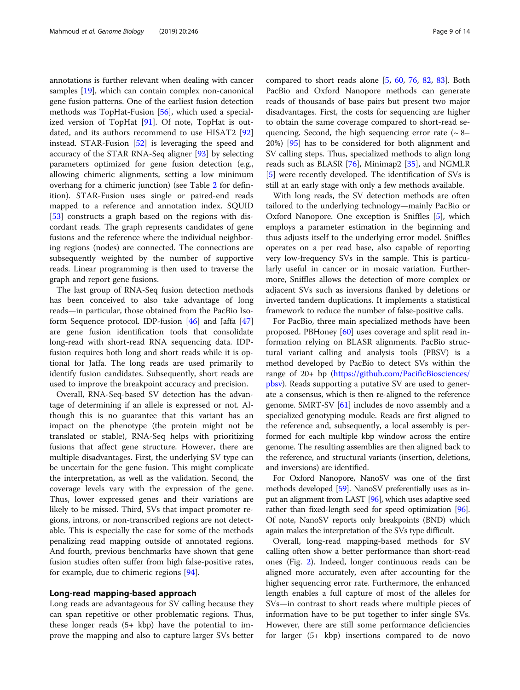annotations is further relevant when dealing with cancer samples [[19\]](#page-11-0), which can contain complex non-canonical gene fusion patterns. One of the earliest fusion detection methods was TopHat-Fusion [\[56](#page-12-0)], which used a specialized version of TopHat [\[91\]](#page-13-0). Of note, TopHat is outdated, and its authors recommend to use HISAT2 [[92](#page-13-0)] instead. STAR-Fusion [[52](#page-12-0)] is leveraging the speed and accuracy of the STAR RNA-Seq aligner [\[93](#page-13-0)] by selecting parameters optimized for gene fusion detection (e.g., allowing chimeric alignments, setting a low minimum overhang for a chimeric junction) (see Table [2](#page-6-0) for definition). STAR-Fusion uses single or paired-end reads mapped to a reference and annotation index. SQUID [[53\]](#page-12-0) constructs a graph based on the regions with discordant reads. The graph represents candidates of gene fusions and the reference where the individual neighboring regions (nodes) are connected. The connections are subsequently weighted by the number of supportive reads. Linear programming is then used to traverse the graph and report gene fusions.

The last group of RNA-Seq fusion detection methods has been conceived to also take advantage of long reads—in particular, those obtained from the PacBio Isoform Sequence protocol. IDP-fusion [\[46\]](#page-12-0) and Jaffa [[47](#page-12-0)] are gene fusion identification tools that consolidate long-read with short-read RNA sequencing data. IDPfusion requires both long and short reads while it is optional for Jaffa. The long reads are used primarily to identify fusion candidates. Subsequently, short reads are used to improve the breakpoint accuracy and precision.

Overall, RNA-Seq-based SV detection has the advantage of determining if an allele is expressed or not. Although this is no guarantee that this variant has an impact on the phenotype (the protein might not be translated or stable), RNA-Seq helps with prioritizing fusions that affect gene structure. However, there are multiple disadvantages. First, the underlying SV type can be uncertain for the gene fusion. This might complicate the interpretation, as well as the validation. Second, the coverage levels vary with the expression of the gene. Thus, lower expressed genes and their variations are likely to be missed. Third, SVs that impact promoter regions, introns, or non-transcribed regions are not detectable. This is especially the case for some of the methods penalizing read mapping outside of annotated regions. And fourth, previous benchmarks have shown that gene fusion studies often suffer from high false-positive rates, for example, due to chimeric regions [[94](#page-13-0)].

#### Long-read mapping-based approach

Long reads are advantageous for SV calling because they can span repetitive or other problematic regions. Thus, these longer reads (5+ kbp) have the potential to improve the mapping and also to capture larger SVs better compared to short reads alone [\[5](#page-11-0), [60,](#page-12-0) [76,](#page-12-0) [82,](#page-12-0) [83\]](#page-12-0). Both PacBio and Oxford Nanopore methods can generate reads of thousands of base pairs but present two major disadvantages. First, the costs for sequencing are higher to obtain the same coverage compared to short-read sequencing. Second, the high sequencing error rate  $({\sim 8}$ -20%) [[95\]](#page-13-0) has to be considered for both alignment and SV calling steps. Thus, specialized methods to align long reads such as BLASR [\[76\]](#page-12-0), Minimap2 [\[35](#page-12-0)], and NGMLR [[5\]](#page-11-0) were recently developed. The identification of SVs is still at an early stage with only a few methods available.

With long reads, the SV detection methods are often tailored to the underlying technology—mainly PacBio or Oxford Nanopore. One exception is Sniffles [\[5](#page-11-0)], which employs a parameter estimation in the beginning and thus adjusts itself to the underlying error model. Sniffles operates on a per read base, also capable of reporting very low-frequency SVs in the sample. This is particularly useful in cancer or in mosaic variation. Furthermore, Sniffles allows the detection of more complex or adjacent SVs such as inversions flanked by deletions or inverted tandem duplications. It implements a statistical framework to reduce the number of false-positive calls.

For PacBio, three main specialized methods have been proposed. PBHoney [\[60](#page-12-0)] uses coverage and split read information relying on BLASR alignments. PacBio structural variant calling and analysis tools (PBSV) is a method developed by PacBio to detect SVs within the range of 20+ bp [\(https://github.com/PacificBiosciences/](https://github.com/PacificBiosciences/pbsv)) [pbsv](https://github.com/PacificBiosciences/pbsv))). Reads supporting a putative SV are used to generate a consensus, which is then re-aligned to the reference genome. SMRT-SV [\[61](#page-12-0)] includes de novo assembly and a specialized genotyping module. Reads are first aligned to the reference and, subsequently, a local assembly is performed for each multiple kbp window across the entire genome. The resulting assemblies are then aligned back to the reference, and structural variants (insertion, deletions, and inversions) are identified.

For Oxford Nanopore, NanoSV was one of the first methods developed [[59](#page-12-0)]. NanoSV preferentially uses as input an alignment from LAST [\[96\]](#page-13-0), which uses adaptive seed rather than fixed-length seed for speed optimization [\[96](#page-13-0)]. Of note, NanoSV reports only breakpoints (BND) which again makes the interpretation of the SVs type difficult.

Overall, long-read mapping-based methods for SV calling often show a better performance than short-read ones (Fig. [2](#page-3-0)). Indeed, longer continuous reads can be aligned more accurately, even after accounting for the higher sequencing error rate. Furthermore, the enhanced length enables a full capture of most of the alleles for SVs—in contrast to short reads where multiple pieces of information have to be put together to infer single SVs. However, there are still some performance deficiencies for larger (5+ kbp) insertions compared to de novo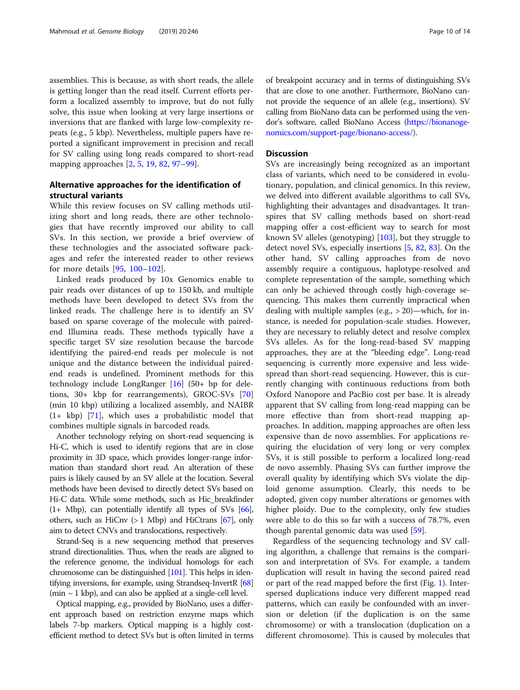assemblies. This is because, as with short reads, the allele is getting longer than the read itself. Current efforts perform a localized assembly to improve, but do not fully solve, this issue when looking at very large insertions or inversions that are flanked with large low-complexity repeats (e.g., 5 kbp). Nevertheless, multiple papers have reported a significant improvement in precision and recall for SV calling using long reads compared to short-read mapping approaches [\[2](#page-11-0), [5](#page-11-0), [19](#page-11-0), [82](#page-12-0), [97](#page-13-0)–[99\]](#page-13-0).

# Alternative approaches for the identification of structural variants

While this review focuses on SV calling methods utilizing short and long reads, there are other technologies that have recently improved our ability to call SVs. In this section, we provide a brief overview of these technologies and the associated software packages and refer the interested reader to other reviews for more details [[95](#page-13-0), [100](#page-13-0)–[102](#page-13-0)].

Linked reads produced by 10x Genomics enable to pair reads over distances of up to 150 kb, and multiple methods have been developed to detect SVs from the linked reads. The challenge here is to identify an SV based on sparse coverage of the molecule with pairedend Illumina reads. These methods typically have a specific target SV size resolution because the barcode identifying the paired-end reads per molecule is not unique and the distance between the individual pairedend reads is undefined. Prominent methods for this technology include LongRanger  $[16]$  $[16]$  (50+ bp for deletions, 30+ kbp for rearrangements), GROC-SVs [[70](#page-12-0)] (min 10 kbp) utilizing a localized assembly, and NAIBR  $(1+ kbp)$  [\[71](#page-12-0)], which uses a probabilistic model that combines multiple signals in barcoded reads.

Another technology relying on short-read sequencing is Hi-C, which is used to identify regions that are in close proximity in 3D space, which provides longer-range information than standard short read. An alteration of these pairs is likely caused by an SV allele at the location. Several methods have been devised to directly detect SVs based on Hi-C data. While some methods, such as Hic\_breakfinder  $(1+ Mbp)$ , can potentially identify all types of SVs  $[66]$  $[66]$ , others, such as HiCnv  $(> 1$  Mbp) and HiCtrans  $[67]$ , only aim to detect CNVs and translocations, respectively.

Strand-Seq is a new sequencing method that preserves strand directionalities. Thus, when the reads are aligned to the reference genome, the individual homologs for each chromosome can be distinguished [\[101](#page-13-0)]. This helps in identifying inversions, for example, using Strandseq-InvertR [\[68](#page-12-0)]  $(\text{min} \sim 1 \text{ kbp})$ , and can also be applied at a single-cell level.

Optical mapping, e.g., provided by BioNano, uses a different approach based on restriction enzyme maps which labels 7-bp markers. Optical mapping is a highly costefficient method to detect SVs but is often limited in terms of breakpoint accuracy and in terms of distinguishing SVs that are close to one another. Furthermore, BioNano cannot provide the sequence of an allele (e.g., insertions). SV calling from BioNano data can be performed using the vendor's software, called BioNano Access [\(https://bionanoge](https://bionanogenomics.com/support-page/bionano-access/)[nomics.com/support-page/bionano-access/\)](https://bionanogenomics.com/support-page/bionano-access/).

#### **Discussion**

SVs are increasingly being recognized as an important class of variants, which need to be considered in evolutionary, population, and clinical genomics. In this review, we delved into different available algorithms to call SVs, highlighting their advantages and disadvantages. It transpires that SV calling methods based on short-read mapping offer a cost-efficient way to search for most known SV alleles (genotyping) [\[103\]](#page-13-0), but they struggle to detect novel SVs, especially insertions [\[5](#page-11-0), [82](#page-12-0), [83](#page-12-0)]. On the other hand, SV calling approaches from de novo assembly require a contiguous, haplotype-resolved and complete representation of the sample, something which can only be achieved through costly high-coverage sequencing. This makes them currently impractical when dealing with multiple samples (e.g.,  $> 20$ )—which, for instance, is needed for population-scale studies. However, they are necessary to reliably detect and resolve complex SVs alleles. As for the long-read-based SV mapping approaches, they are at the "bleeding edge". Long-read sequencing is currently more expensive and less widespread than short-read sequencing. However, this is currently changing with continuous reductions from both Oxford Nanopore and PacBio cost per base. It is already apparent that SV calling from long-read mapping can be more effective than from short-read mapping approaches. In addition, mapping approaches are often less expensive than de novo assemblies. For applications requiring the elucidation of very long or very complex SVs, it is still possible to perform a localized long-read de novo assembly. Phasing SVs can further improve the overall quality by identifying which SVs violate the diploid genome assumption. Clearly, this needs to be adopted, given copy number alterations or genomes with higher ploidy. Due to the complexity, only few studies were able to do this so far with a success of 78.7%, even though parental genomic data was used [\[59](#page-12-0)].

Regardless of the sequencing technology and SV calling algorithm, a challenge that remains is the comparison and interpretation of SVs. For example, a tandem duplication will result in having the second paired read or part of the read mapped before the first (Fig. [1\)](#page-2-0). Interspersed duplications induce very different mapped read patterns, which can easily be confounded with an inversion or deletion (if the duplication is on the same chromosome) or with a translocation (duplication on a different chromosome). This is caused by molecules that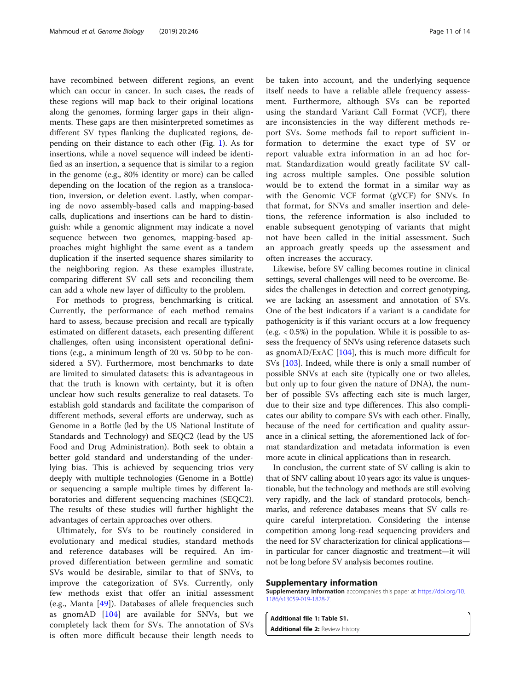<span id="page-10-0"></span>have recombined between different regions, an event which can occur in cancer. In such cases, the reads of these regions will map back to their original locations along the genomes, forming larger gaps in their alignments. These gaps are then misinterpreted sometimes as different SV types flanking the duplicated regions, depending on their distance to each other (Fig. [1](#page-2-0)). As for insertions, while a novel sequence will indeed be identified as an insertion, a sequence that is similar to a region in the genome (e.g., 80% identity or more) can be called depending on the location of the region as a translocation, inversion, or deletion event. Lastly, when comparing de novo assembly-based calls and mapping-based calls, duplications and insertions can be hard to distinguish: while a genomic alignment may indicate a novel sequence between two genomes, mapping-based approaches might highlight the same event as a tandem duplication if the inserted sequence shares similarity to the neighboring region. As these examples illustrate, comparing different SV call sets and reconciling them can add a whole new layer of difficulty to the problem.

For methods to progress, benchmarking is critical. Currently, the performance of each method remains hard to assess, because precision and recall are typically estimated on different datasets, each presenting different challenges, often using inconsistent operational definitions (e.g., a minimum length of 20 vs. 50 bp to be considered a SV). Furthermore, most benchmarks to date are limited to simulated datasets: this is advantageous in that the truth is known with certainty, but it is often unclear how such results generalize to real datasets. To establish gold standards and facilitate the comparison of different methods, several efforts are underway, such as Genome in a Bottle (led by the US National Institute of Standards and Technology) and SEQC2 (lead by the US Food and Drug Administration). Both seek to obtain a better gold standard and understanding of the underlying bias. This is achieved by sequencing trios very deeply with multiple technologies (Genome in a Bottle) or sequencing a sample multiple times by different laboratories and different sequencing machines (SEQC2). The results of these studies will further highlight the advantages of certain approaches over others.

Ultimately, for SVs to be routinely considered in evolutionary and medical studies, standard methods and reference databases will be required. An improved differentiation between germline and somatic SVs would be desirable, similar to that of SNVs, to improve the categorization of SVs. Currently, only few methods exist that offer an initial assessment (e.g., Manta [\[49](#page-12-0)]). Databases of allele frequencies such as gnomAD [[104](#page-13-0)] are available for SNVs, but we completely lack them for SVs. The annotation of SVs is often more difficult because their length needs to be taken into account, and the underlying sequence itself needs to have a reliable allele frequency assessment. Furthermore, although SVs can be reported using the standard Variant Call Format (VCF), there are inconsistencies in the way different methods report SVs. Some methods fail to report sufficient information to determine the exact type of SV or report valuable extra information in an ad hoc format. Standardization would greatly facilitate SV calling across multiple samples. One possible solution would be to extend the format in a similar way as with the Genomic VCF format (gVCF) for SNVs. In that format, for SNVs and smaller insertion and deletions, the reference information is also included to enable subsequent genotyping of variants that might not have been called in the initial assessment. Such an approach greatly speeds up the assessment and often increases the accuracy.

Likewise, before SV calling becomes routine in clinical settings, several challenges will need to be overcome. Besides the challenges in detection and correct genotyping, we are lacking an assessment and annotation of SVs. One of the best indicators if a variant is a candidate for pathogenicity is if this variant occurs at a low frequency (e.g. < 0.5%) in the population. While it is possible to assess the frequency of SNVs using reference datasets such as gnomAD/ExAC [\[104\]](#page-13-0), this is much more difficult for SVs [[103](#page-13-0)]. Indeed, while there is only a small number of possible SNVs at each site (typically one or two alleles, but only up to four given the nature of DNA), the number of possible SVs affecting each site is much larger, due to their size and type differences. This also complicates our ability to compare SVs with each other. Finally, because of the need for certification and quality assurance in a clinical setting, the aforementioned lack of format standardization and metadata information is even more acute in clinical applications than in research.

In conclusion, the current state of SV calling is akin to that of SNV calling about 10 years ago: its value is unquestionable, but the technology and methods are still evolving very rapidly, and the lack of standard protocols, benchmarks, and reference databases means that SV calls require careful interpretation. Considering the intense competition among long-read sequencing providers and the need for SV characterization for clinical applications in particular for cancer diagnostic and treatment—it will not be long before SV analysis becomes routine.

### Supplementary information

Supplementary information accompanies this paper at [https://doi.org/10.](https://doi.org/10.1186/s13059-019-1828-7) [1186/s13059-019-1828-7.](https://doi.org/10.1186/s13059-019-1828-7)

Additional file 1: Table S1.

Additional file 2: Review history.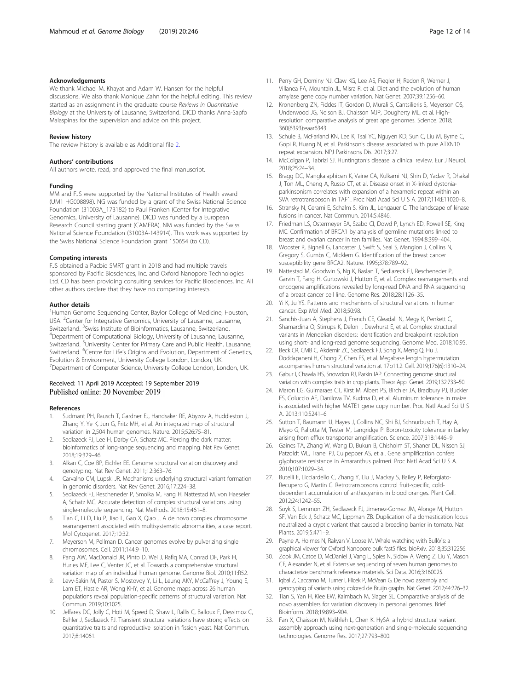#### <span id="page-11-0"></span>Acknowledgements

We thank Michael M. Khayat and Adam W. Hansen for the helpful discussions. We also thank Monique Zahn for the helpful editing. This review started as an assignment in the graduate course Reviews in Quantitative Biology at the University of Lausanne, Switzerland. DICD thanks Anna-Sapfo Malaspinas for the supervision and advice on this project.

#### Review history

The review history is available as Additional file [2.](#page-10-0)

#### Authors' contributions

All authors wrote, read, and approved the final manuscript.

#### Funding

MM and FJS were supported by the National Institutes of Health award (UM1 HG008898). NG was funded by a grant of the Swiss National Science Foundation (31003A\_173182) to Paul Franken (Center for Integrative Genomics, University of Lausanne). DICD was funded by a European Research Council starting grant (CAMERA). NM was funded by the Swiss National Science Foundation (31003A-143914). This work was supported by the Swiss National Science Foundation grant 150654 (to CD).

#### Competing interests

FJS obtained a Pacbio SMRT grant in 2018 and had multiple travels sponsored by Pacific Biosciences, Inc. and Oxford Nanopore Technologies Ltd. CD has been providing consulting services for Pacific Biosciences, Inc. All other authors declare that they have no competing interests.

#### Author details

<sup>1</sup>Human Genome Sequencing Center, Baylor College of Medicine, Houston, USA. <sup>2</sup> Center for Integrative Genomics, University of Lausanne, Lausanne, Switzerland. <sup>3</sup>Swiss Institute of Bioinformatics, Lausanne, Switzerland.<br><sup>4</sup>Department of Computational Biology, University of Lausanne, Laus <sup>4</sup>Department of Computational Biology, University of Lausanne, Lausanne, Switzerland. <sup>5</sup>University Center for Primary Care and Public Health, Lausanne, Switzerland. <sup>6</sup>Centre for Life's Origins and Evolution, Department of Genetics, Evolution & Environment, University College London, London, UK. <sup>7</sup>Department of Computer Science, University College London, London, UK.

#### Received: 11 April 2019 Accepted: 19 September 2019 Published online: 20 November 2019

#### References

- 1. Sudmant PH, Rausch T, Gardner EJ, Handsaker RE, Abyzov A, Huddleston J, Zhang Y, Ye K, Jun G, Fritz MH, et al. An integrated map of structural variation in 2,504 human genomes. Nature. 2015;526:75–81.
- Sedlazeck FJ, Lee H, Darby CA, Schatz MC. Piercing the dark matter: bioinformatics of long-range sequencing and mapping. Nat Rev Genet. 2018;19:329–46.
- 3. Alkan C, Coe BP, Eichler EE. Genome structural variation discovery and genotyping. Nat Rev Genet. 2011;12:363–76.
- 4. Carvalho CM, Lupski JR. Mechanisms underlying structural variant formation in genomic disorders. Nat Rev Genet. 2016;17:224–38.
- 5. Sedlazeck FJ, Rescheneder P, Smolka M, Fang H, Nattestad M, von Haeseler A, Schatz MC. Accurate detection of complex structural variations using single-molecule sequencing. Nat Methods. 2018;15:461–8.
- 6. Tian C, Li D, Liu P, Jiao L, Gao X, Qiao J. A de novo complex chromosome rearrangement associated with multisystematic abnormalities, a case report. Mol Cytogenet. 2017;10:32.
- 7. Meyerson M, Pellman D. Cancer genomes evolve by pulverizing single chromosomes. Cell. 2011;144:9–10.
- 8. Pang AW, MacDonald JR, Pinto D, Wei J, Rafiq MA, Conrad DF, Park H, Hurles ME, Lee C, Venter JC, et al. Towards a comprehensive structural variation map of an individual human genome. Genome Biol. 2010;11:R52.
- 9. Levy-Sakin M, Pastor S, Mostovoy Y, Li L, Leung AKY, McCaffrey J, Young E, Lam ET, Hastie AR, Wong KHY, et al. Genome maps across 26 human populations reveal population-specific patterns of structural variation. Nat Commun. 2019;10:1025.
- 10. Jeffares DC, Jolly C, Hoti M, Speed D, Shaw L, Rallis C, Balloux F, Dessimoz C, Bahler J, Sedlazeck FJ. Transient structural variations have strong effects on quantitative traits and reproductive isolation in fission yeast. Nat Commun. 2017;8:14061.
- 11. Perry GH, Dominy NJ, Claw KG, Lee AS, Fiegler H, Redon R, Werner J, Villanea FA, Mountain JL, Misra R, et al. Diet and the evolution of human amylase gene copy number variation. Nat Genet. 2007;39:1256–60.
- 12. Kronenberg ZN, Fiddes IT, Gordon D, Murali S, Cantsilieris S, Meyerson OS, Underwood JG, Nelson BJ, Chaisson MJP, Dougherty ML, et al. Highresolution comparative analysis of great ape genomes. Science. 2018; 360(6393):eaar6343.
- 13. Schule B, McFarland KN, Lee K, Tsai YC, Nguyen KD, Sun C, Liu M, Byrne C, Gopi R, Huang N, et al. Parkinson's disease associated with pure ATXN10 repeat expansion. NPJ Parkinsons Dis. 2017;3:27.
- 14. McColgan P, Tabrizi SJ. Huntington's disease: a clinical review. Eur J Neurol. 2018;25:24–34.
- 15. Bragg DC, Mangkalaphiban K, Vaine CA, Kulkarni NJ, Shin D, Yadav R, Dhakal J, Ton ML, Cheng A, Russo CT, et al. Disease onset in X-linked dystoniaparkinsonism correlates with expansion of a hexameric repeat within an SVA retrotransposon in TAF1. Proc Natl Acad Sci U S A. 2017;114:E11020–8.
- 16. Stransky N, Cerami E, Schalm S, Kim JL, Lengauer C. The landscape of kinase fusions in cancer. Nat Commun. 2014;5:4846.
- 17. Friedman LS, Ostermeyer EA, Szabo CI, Dowd P, Lynch ED, Rowell SE, King MC. Confirmation of BRCA1 by analysis of germline mutations linked to breast and ovarian cancer in ten families. Nat Genet. 1994;8:399–404.
- 18. Wooster R, Bignell G, Lancaster J, Swift S, Seal S, Mangion J, Collins N, Gregory S, Gumbs C, Micklem G. Identification of the breast cancer susceptibility gene BRCA2. Nature. 1995;378:789–92.
- 19. Nattestad M, Goodwin S, Ng K, Baslan T, Sedlazeck FJ, Rescheneder P, Garvin T, Fang H, Gurtowski J, Hutton E, et al. Complex rearrangements and oncogene amplifications revealed by long-read DNA and RNA sequencing of a breast cancer cell line. Genome Res. 2018;28:1126–35.
- 20. Yi K, Ju YS. Patterns and mechanisms of structural variations in human cancer. Exp Mol Med. 2018;50:98.
- 21. Sanchis-Juan A, Stephens J, French CE, Gleadall N, Megy K, Penkett C, Shamardina O, Stirrups K, Delon I, Dewhurst E, et al. Complex structural variants in Mendelian disorders: identification and breakpoint resolution using short- and long-read genome sequencing. Genome Med. 2018;10:95.
- 22. Beck CR, CMB C, Akdemir ZC, Sedlazeck FJ, Song X, Meng Q, Hu J, Doddapaneni H, Chong Z, Chen ES, et al. Megabase length hypermutation accompanies human structural variation at 17p11.2. Cell. 2019;176(6):1310–24.
- 23. Gabur I, Chawla HS, Snowdon RJ, Parkin IAP. Connecting genome structural variation with complex traits in crop plants. Theor Appl Genet. 2019;132:733–50.
- 24. Maron LG, Guimaraes CT, Kirst M, Albert PS, Birchler JA, Bradbury PJ, Buckler ES, Coluccio AE, Danilova TV, Kudrna D, et al. Aluminum tolerance in maize is associated with higher MATE1 gene copy number. Proc Natl Acad Sci U S A. 2013;110:5241–6.
- 25. Sutton T, Baumann U, Hayes J, Collins NC, Shi BJ, Schnurbusch T, Hay A, Mayo G, Pallotta M, Tester M, Langridge P. Boron-toxicity tolerance in barley arising from efflux transporter amplification. Science. 2007;318:1446–9.
- 26. Gaines TA, Zhang W, Wang D, Bukun B, Chisholm ST, Shaner DL, Nissen SJ, Patzoldt WL, Tranel PJ, Culpepper AS, et al. Gene amplification confers glyphosate resistance in Amaranthus palmeri. Proc Natl Acad Sci U S A. 2010;107:1029–34.
- 27. Butelli E, Licciardello C, Zhang Y, Liu J, Mackay S, Bailey P, Reforgiato-Recupero G, Martin C. Retrotransposons control fruit-specific, colddependent accumulation of anthocyanins in blood oranges. Plant Cell. 2012;24:1242–55.
- 28. Soyk S, Lemmon ZH, Sedlazeck FJ, Jimenez-Gomez JM, Alonge M, Hutton SF, Van Eck J, Schatz MC, Lippman ZB. Duplication of a domestication locus neutralized a cryptic variant that caused a breeding barrier in tomato. Nat Plants. 2019;5:471–9.
- 29. Payne A, Holmes N, Rakyan V, Loose M. Whale watching with BulkVis: a graphical viewer for Oxford Nanopore bulk fast5 files. bioRxiv. 2018;35:312256.
- 30. Zook JM, Catoe D, McDaniel J, Vang L, Spies N, Sidow A, Weng Z, Liu Y, Mason CE, Alexander N, et al. Extensive sequencing of seven human genomes to characterize benchmark reference materials. Sci Data. 2016;3:160025.
- 31. Iqbal Z, Caccamo M, Turner I, Flicek P, McVean G. De novo assembly and genotyping of variants using colored de Bruijn graphs. Nat Genet. 2012;44:226–32.
- 32. Tian S, Yan H, Klee EW, Kalmbach M, Slager SL. Comparative analysis of de novo assemblers for variation discovery in personal genomes. Brief Bioinform. 2018;19:893–904.
- 33. Fan X, Chaisson M, Nakhleh L, Chen K. HySA: a hybrid structural variant assembly approach using next-generation and single-molecule sequencing technologies. Genome Res. 2017;27:793–800.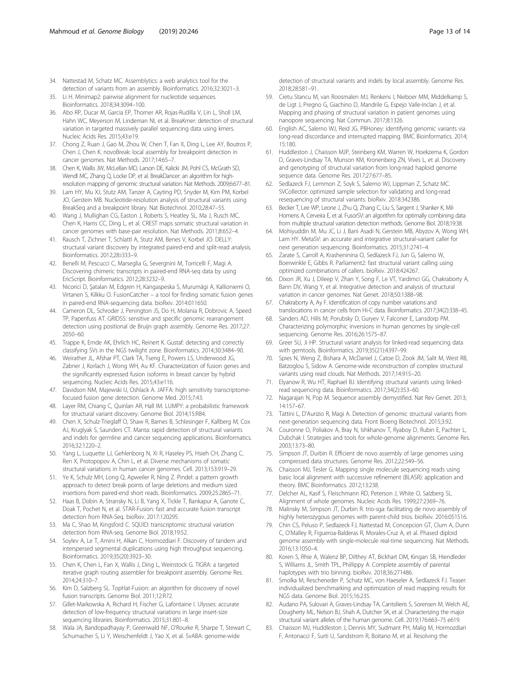- <span id="page-12-0"></span>34. Nattestad M, Schatz MC. Assemblytics: a web analytics tool for the detection of variants from an assembly. Bioinformatics. 2016;32:3021–3.
- 35. Li H. Minimap2: pairwise alignment for nucleotide sequences. Bioinformatics. 2018;34:3094–100.
- 36. Abo RP, Ducar M, Garcia EP, Thorner AR, Rojas-Rudilla V, Lin L, Sholl LM, Hahn WC, Meyerson M, Lindeman NI, et al. BreaKmer: detection of structural variation in targeted massively parallel sequencing data using kmers. Nucleic Acids Res. 2015;43:e19.
- 37. Chong Z, Ruan J, Gao M, Zhou W, Chen T, Fan X, Ding L, Lee AY, Boutros P, Chen J, Chen K. novoBreak: local assembly for breakpoint detection in cancer genomes. Nat Methods. 2017;14:65–7.
- 38. Chen K, Wallis JW, McLellan MD, Larson DE, Kalicki JM, Pohl CS, McGrath SD, Wendl MC, Zhang Q, Locke DP, et al. BreakDancer: an algorithm for highresolution mapping of genomic structural variation. Nat Methods. 2009;6:677–81.
- 39. Lam HY, Mu XJ, Stutz AM, Tanzer A, Cayting PD, Snyder M, Kim PM, Korbel JO, Gerstein MB. Nucleotide-resolution analysis of structural variants using BreakSeq and a breakpoint library. Nat Biotechnol. 2010;28:47–55.
- 40. Wang J, Mullighan CG, Easton J, Roberts S, Heatley SL, Ma J, Rusch MC, Chen K, Harris CC, Ding L, et al. CREST maps somatic structural variation in cancer genomes with base-pair resolution. Nat Methods. 2011;8:652–4.
- 41. Rausch T, Zichner T, Schlattl A, Stutz AM, Benes V, Korbel JO. DELLY: structural variant discovery by integrated paired-end and split-read analysis. Bioinformatics. 2012;28:i333–9.
- 42. Benelli M, Pescucci C, Marseglia G, Severgnini M, Torricelli F, Magi A. Discovering chimeric transcripts in paired-end RNA-seq data by using EricScript. Bioinformatics. 2012;28:3232–9.
- 43. Nicorici D, Şatalan M, Edgren H, Kangaspeska S, Murumägi A, Kallioniemi O, Virtanen S, Kilkku O. FusionCatcher – a tool for finding somatic fusion genes in paired-end RNA-sequencing data. bioRxiv. 2014:011650.
- 44. Cameron DL, Schroder J, Penington JS, Do H, Molania R, Dobrovic A, Speed TP, Papenfuss AT. GRIDSS: sensitive and specific genomic rearrangement detection using positional de Bruijn graph assembly. Genome Res. 2017;27: 2050–60.
- 45. Trappe K, Emde AK, Ehrlich HC, Reinert K. Gustaf: detecting and correctly classifying SVs in the NGS twilight zone. Bioinformatics. 2014;30:3484–90.
- 46. Weirather JL, Afshar PT, Clark TA, Tseng E, Powers LS, Underwood JG, Zabner J, Korlach J, Wong WH, Au KF. Characterization of fusion genes and the significantly expressed fusion isoforms in breast cancer by hybrid sequencing. Nucleic Acids Res. 2015;43:e116.
- 47. Davidson NM, Majewski IJ, Oshlack A. JAFFA: high sensitivity transcriptomefocused fusion gene detection. Genome Med. 2015;7:43.
- 48. Layer RM, Chiang C, Quinlan AR, Hall IM. LUMPY: a probabilistic framework for structural variant discovery. Genome Biol. 2014;15:R84.
- 49. Chen X, Schulz-Trieglaff O, Shaw R, Barnes B, Schlesinger F, Kallberg M, Cox AJ, Kruglyak S, Saunders CT. Manta: rapid detection of structural variants and indels for germline and cancer sequencing applications. Bioinformatics. 2016;32:1220–2.
- 50. Yang L, Luquette LJ, Gehlenborg N, Xi R, Haseley PS, Hsieh CH, Zhang C, Ren X, Protopopov A, Chin L, et al. Diverse mechanisms of somatic structural variations in human cancer genomes. Cell. 2013;153:919–29.
- 51. Ye K, Schulz MH, Long Q, Apweiler R, Ning Z. Pindel: a pattern growth approach to detect break points of large deletions and medium sized insertions from paired-end short reads. Bioinformatics. 2009;25:2865–71.
- 52. Haas B, Dobin A, Stransky N, Li B, Yang X, Tickle T, Bankapur A, Ganote C, Doak T, Pochet N, et al. STAR-Fusion: fast and accurate fusion transcript detection from RNA-Seq. bioRxiv. 2017:120295.
- 53. Ma C, Shao M, Kingsford C. SQUID: transcriptomic structural variation detection from RNA-seq. Genome Biol. 2018;19:52.
- 54. Soylev A, Le T, Amini H, Alkan C, Hormozdiari F. Discovery of tandem and interspersed segmental duplications using high throughput sequencing. Bioinformatics. 2019;35(20):3923–30.
- 55. Chen K, Chen L, Fan X, Wallis J, Ding L, Weinstock G. TIGRA: a targeted iterative graph routing assembler for breakpoint assembly. Genome Res. 2014;24:310–7.
- 56. Kim D, Salzberg SL. TopHat-Fusion: an algorithm for discovery of novel fusion transcripts. Genome Biol. 2011;12:R72.
- 57. Gillet-Markowska A, Richard H, Fischer G, Lafontaine I. Ulysses: accurate detection of low-frequency structural variations in large insert-size sequencing libraries. Bioinformatics. 2015;31:801–8.
- 58. Wala JA, Bandopadhayay P, Greenwald NF, O'Rourke R, Sharpe T, Stewart C, Schumacher S, Li Y, Weischenfeldt J, Yao X, et al. SvABA: genome-wide

detection of structural variants and indels by local assembly. Genome Res. 2018;28:581–91.

- 59. Cretu Stancu M, van Roosmalen MJ, Renkens I, Nieboer MM, Middelkamp S, de Ligt J, Pregno G, Giachino D, Mandrile G, Espejo Valle-Inclan J, et al. Mapping and phasing of structural variation in patient genomes using nanopore sequencing. Nat Commun. 2017;8:1326.
- 60. English AC, Salerno WJ, Reid JG. PBHoney: identifying genomic variants via long-read discordance and interrupted mapping. BMC Bioinformatics. 2014; 15:180.
- 61. Huddleston J, Chaisson MJP, Steinberg KM, Warren W, Hoekzema K, Gordon D, Graves-Lindsay TA, Munson KM, Kronenberg ZN, Vives L, et al. Discovery and genotyping of structural variation from long-read haploid genome sequence data. Genome Res. 2017;27:677–85.
- 62. Sedlazeck FJ, Lemmon Z, Soyk S, Salerno WJ, Lippman Z, Schatz MC. SVCollector: optimized sample selection for validating and long-read resequencing of structural variants. bioRxiv. 2018:342386.
- 63. Becker T, Lee WP, Leone J, Zhu Q, Zhang C, Liu S, Sargent J, Shanker K, Mil-Homens A, Cerveira E, et al. FusorSV: an algorithm for optimally combining data from multiple structural variation detection methods. Genome Biol. 2018;19:38.
- 64. Mohiyuddin M, Mu JC, Li J, Bani Asadi N, Gerstein MB, Abyzov A, Wong WH, Lam HY. MetaSV: an accurate and integrative structural-variant caller for next generation sequencing. Bioinformatics. 2015;31:2741–4.
- 65. Zarate S, Carroll A, Krasheninina O, Sedlazeck FJ, Jun G, Salerno W, Boerwinkle E, Gibbs R. Parliament2: fast structural variant calling using optimized combinations of callers. bioRxiv. 2018:424267.
- 66. Dixon JR, Xu J, Dileep V, Zhan Y, Song F, Le VT, Yardimci GG, Chakraborty A, Bann DV, Wang Y, et al. Integrative detection and analysis of structural variation in cancer genomes. Nat Genet. 2018;50:1388–98.
- 67. Chakraborty A, Ay F. Identification of copy number variations and translocations in cancer cells from Hi-C data. Bioinformatics. 2017;34(2):338–45.
- 68. Sanders AD, Hills M, Porubsky D, Guryev V, Falconer E, Lansdorp PM. Characterizing polymorphic inversions in human genomes by single-cell sequencing. Genome Res. 2016;26:1575–87.
- 69. Greer SU, Ji HP. Structural variant analysis for linked-read sequencing data with gemtools. Bioinformatics. 2019;35(21):4397–99.
- 70. Spies N, Weng Z, Bishara A, McDaniel J, Catoe D, Zook JM, Salit M, West RB, Batzoglou S, Sidow A. Genome-wide reconstruction of complex structural variants using read clouds. Nat Methods. 2017;14:915–20.
- 71. Elyanow R, Wu HT, Raphael BJ. Identifying structural variants using linkedread sequencing data. Bioinformatics. 2017;34(2):353–60.
- 72. Nagarajan N, Pop M. Sequence assembly demystified. Nat Rev Genet. 2013; 14:157–67.
- 73. Tattini L, D'Aurizio R, Magi A. Detection of genomic structural variants from next-generation sequencing data. Front Bioeng Biotechnol. 2015;3:92.
- 74. Couronne O, Poliakov A, Bray N, Ishkhanov T, Ryaboy D, Rubin E, Pachter L, Dubchak I. Strategies and tools for whole-genome alignments. Genome Res. 2003;13:73–80.
- 75. Simpson JT, Durbin R. Efficient de novo assembly of large genomes using compressed data structures. Genome Res. 2012;22:549–56.
- 76. Chaisson MJ, Tesler G. Mapping single molecule sequencing reads using basic local alignment with successive refinement (BLASR): application and theory. BMC Bioinformatics. 2012;13:238.
- 77. Delcher AL, Kasif S, Fleischmann RD, Peterson J, White O, Salzberg SL. Alignment of whole genomes. Nucleic Acids Res. 1999;27:2369–76.
- 78. Malinsky M, Simpson JT, Durbin R. trio-sga: facilitating de novo assembly of highly heterozygous genomes with parent-child trios. bioRxiv. 2016:051516.
- 79. Chin CS, Peluso P, Sedlazeck FJ, Nattestad M, Concepcion GT, Clum A, Dunn C, O'Malley R, Figueroa-Balderas R, Morales-Cruz A, et al. Phased diploid genome assembly with single-molecule real-time sequencing. Nat Methods. 2016;13:1050–4.
- 80. Koren S, Rhie A, Walenz BP, Dilthey AT, Bickhart DM, Kingan SB, Hiendleder S, Williams JL, Smith TPL, Phillippy A. Complete assembly of parental haplotypes with trio binning. bioRxiv. 2018;36:271486.
- 81. Smolka M, Rescheneder P, Schatz MC, von Haeseler A, Sedlazeck FJ. Teaser: individualized benchmarking and optimization of read mapping results for NGS data. Genome Biol. 2015;16:235.
- 82. Audano PA, Sulovari A, Graves-Lindsay TA, Cantsilieris S, Sorensen M, Welch AE, Dougherty ML, Nelson BJ, Shah A, Dutcher SK, et al. Characterizing the major structural variant alleles of the human genome. Cell. 2019;176:663–75 e619.
- 83. Chaisson MJ, Huddleston J, Dennis MY, Sudmant PH, Malig M, Hormozdiari F, Antonacci F, Surti U, Sandstrom R, Boitano M, et al. Resolving the